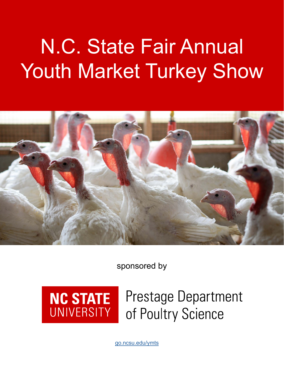# N.C. State Fair Annual Youth Market Turkey Show



sponsored by



## **Prestage Department** of Poultry Science

[go.ncsu.edu/](http://go.ncsu.edu/prestage)ymts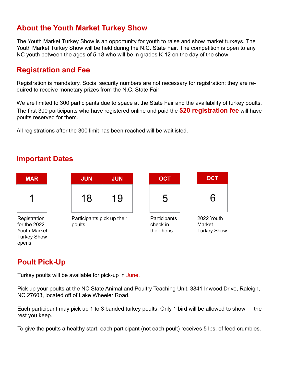#### **About the Youth Market Turkey Show**

The Youth Market Turkey Show is an opportunity for youth to raise and show market turkeys. The Youth Market Turkey Show will be held during the N.C. State Fair. The competition is open to any NC youth between the ages of 5-18 who will be in grades K-12 on the day of the show.

#### **Registration and Fee**

Registration is mandatory. Social security numbers are not necessary for registration; they are required to receive monetary prizes from the N.C. State Fair.

We are limited to 300 participants due to space at the State Fair and the availability of turkey poults. The first 300 participants who have registered online and paid the **\$20 registration fee** will have poults reserved for them.

All registrations after the 300 limit has been reached will be waitlisted.

#### **Important Dates**



#### **Poult Pick-Up**

Turkey poults will be available for pick-up in June.

Pick up your poults at the NC State Animal and Poultry Teaching Unit, 3841 Inwood Drive, Raleigh, NC 27603, located off of Lake Wheeler Road.

Each participant may pick up 1 to 3 banded turkey poults. Only 1 bird will be allowed to show — the rest you keep.

To give the poults a healthy start, each participant (not each poult) receives 5 lbs. of feed crumbles.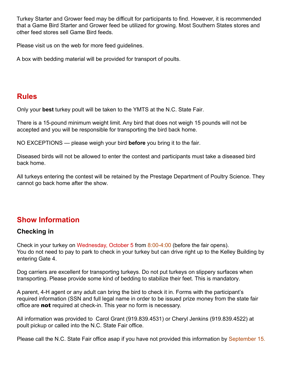Turkey Starter and Grower feed may be difficult for participants to find. However, it is recommended that a Game Bird Starter and Grower feed be utilized for growing. Most Southern States stores and other feed stores sell Game Bird feeds.

Please visit us on the web for more feed guidelines.

A box with bedding material will be provided for transport of poults.

#### **Rules**

Only your **best** turkey poult will be taken to the YMTS at the N.C. State Fair.

There is a 15-pound minimum weight limit. Any bird that does not weigh 15 pounds will not be accepted and you will be responsible for transporting the bird back home.

NO EXCEPTIONS — please weigh your bird **before** you bring it to the fair.

Diseased birds will not be allowed to enter the contest and participants must take a diseased bird back home.

All turkeys entering the contest will be retained by the Prestage Department of Poultry Science. They cannot go back home after the show.

#### **Show Information**

#### **Checking in**

Check in your turkey on Wednesday, October 5 from 8:00-4:00 (before the fair opens). You do not need to pay to park to check in your turkey but can drive right up to the Kelley Building by entering Gate 4.

Dog carriers are excellent for transporting turkeys. Do not put turkeys on slippery surfaces when transporting. Please provide some kind of bedding to stabilize their feet. This is mandatory.

A parent, 4-H agent or any adult can bring the bird to check it in. Forms with the participant's required information (SSN and full legal name in order to be issued prize money from the state fair office are not required at check-in. This year no form is necessary.

All information was provided to Carol Grant (919.839.4531) or Cheryl Jenkins (919.839.4522) at poult pickup or called into the N.C. State Fair office.

Please call the N.C. State Fair office asap if you have not provided this information by September 15.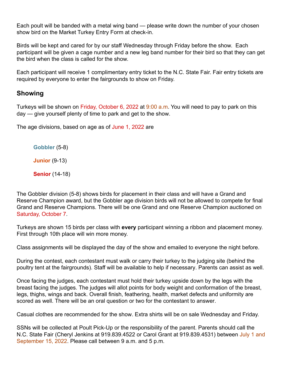Each poult will be banded with a metal wing band — please write down the number of your chosen show bird on the Market Turkey Entry Form at check-in.

Birds will be kept and cared for by our staff Wednesday through Friday before the show. Each participant will be given a cage number and a new leg band number for their bird so that they can get the bird when the class is called for the show.

Each participant will receive 1 complimentary entry ticket to the N.C. State Fair. Fair entry tickets are required by everyone to enter the fairgrounds to show on Friday.

#### **Showing**

Turkeys will be shown on Friday, October 6, 2022 at 9:00 a.m. You will need to pay to park on this day — give yourself plenty of time to park and get to the show.

The age divisions, based on age as of June 1, 2022 are

**Gobbler** (5-8)

**Junior** (9-13)

**Senior** (14-18)

The Gobbler division (5-8) shows birds for placement in their class and will have a Grand and Reserve Champion award, but the Gobbler age division birds will not be allowed to compete for final Grand and Reserve Champions. There will be one Grand and one Reserve Champion auctioned on Saturday, October 7.

Turkeys are shown 15 birds per class with **every** participant winning a ribbon and placement money. First through 10th place will win more money.

Class assignments will be displayed the day of the show and emailed to everyone the night before.

During the contest, each contestant must walk or carry their turkey to the judging site (behind the poultry tent at the fairgrounds). Staff will be available to help if necessary. Parents can assist as well.

Once facing the judges, each contestant must hold their turkey upside down by the legs with the breast facing the judges. The judges will allot points for body weight and conformation of the breast, legs, thighs, wings and back. Overall finish, feathering, health, market defects and uniformity are scored as well. There will be an oral question or two for the contestant to answer.

Casual clothes are recommended for the show. Extra shirts will be on sale Wednesday and Friday.

SSNs will be collected at Poult Pick-Up or the responsibility of the parent. Parents should call the N.C. State Fair (Cheryl Jenkins at 919.839.4522 or Carol Grant at 919.839.4531) between July 1 and September 15, 2022. Please call between 9 a.m. and 5 p.m.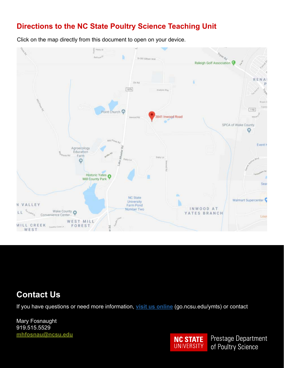#### **Directions to the NC State Poultry Science Teaching Unit**

Click on the map directly from this document to open on your device.



#### **Contact Us**

If you have questions or need more information, **[visit us online](https://poultry4hyouth.ces.ncsu.edu/youth-market-turkey-show/)** (go.ncsu.edu/ymts) or contact

Mary Fosnaught 919.515.5529 **[mhfosnau@ncsu.edu](mailto:mhfosnau%40ncsu.edu?subject=Question%20about%20the%20Youth%20Market%20Turkey%20Show)**



Prestage Department of Poultry Science